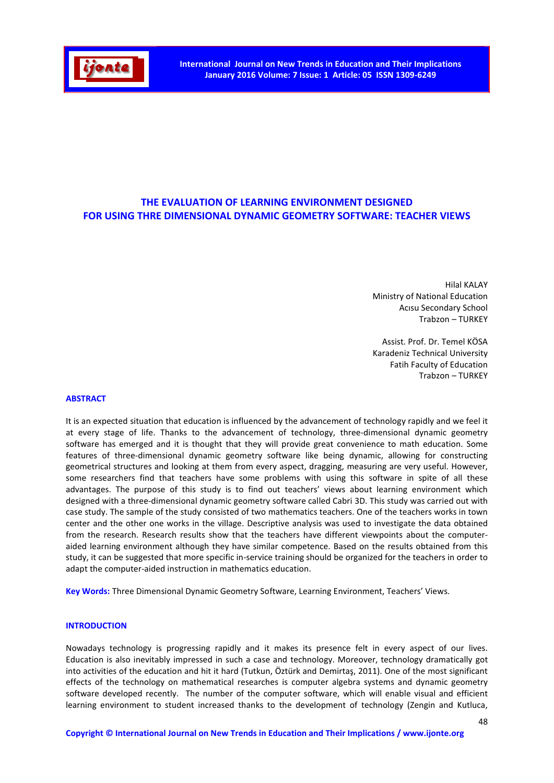

# THE EVALUATION OF LEARNING ENVIRONMENT DESIGNED FOR USING THRE DIMENSIONAL DYNAMIC GEOMETRY SOFTWARE: TEACHER VIEWS

Hilal KALAY Ministry of National Education Acısu Secondary School Trabzon – TURKEY

Assist. Prof. Dr. Temel KÖSA Karadeniz Technical University Fatih Faculty of Education Trabzon – TURKEY

#### ABSTRACT

It is an expected situation that education is influenced by the advancement of technology rapidly and we feel it at every stage of life. Thanks to the advancement of technology, three-dimensional dynamic geometry software has emerged and it is thought that they will provide great convenience to math education. Some features of three-dimensional dynamic geometry software like being dynamic, allowing for constructing geometrical structures and looking at them from every aspect, dragging, measuring are very useful. However, some researchers find that teachers have some problems with using this software in spite of all these advantages. The purpose of this study is to find out teachers' views about learning environment which designed with a three-dimensional dynamic geometry software called Cabri 3D. This study was carried out with case study. The sample of the study consisted of two mathematics teachers. One of the teachers works in town center and the other one works in the village. Descriptive analysis was used to investigate the data obtained from the research. Research results show that the teachers have different viewpoints about the computeraided learning environment although they have similar competence. Based on the results obtained from this study, it can be suggested that more specific in-service training should be organized for the teachers in order to adapt the computer-aided instruction in mathematics education.

Key Words: Three Dimensional Dynamic Geometry Software, Learning Environment, Teachers' Views.

# **INTRODUCTION**

Nowadays technology is progressing rapidly and it makes its presence felt in every aspect of our lives. Education is also inevitably impressed in such a case and technology. Moreover, technology dramatically got into activities of the education and hit it hard (Tutkun, Öztürk and Demirtaş, 2011). One of the most significant effects of the technology on mathematical researches is computer algebra systems and dynamic geometry software developed recently. The number of the computer software, which will enable visual and efficient learning environment to student increased thanks to the development of technology (Zengin and Kutluca,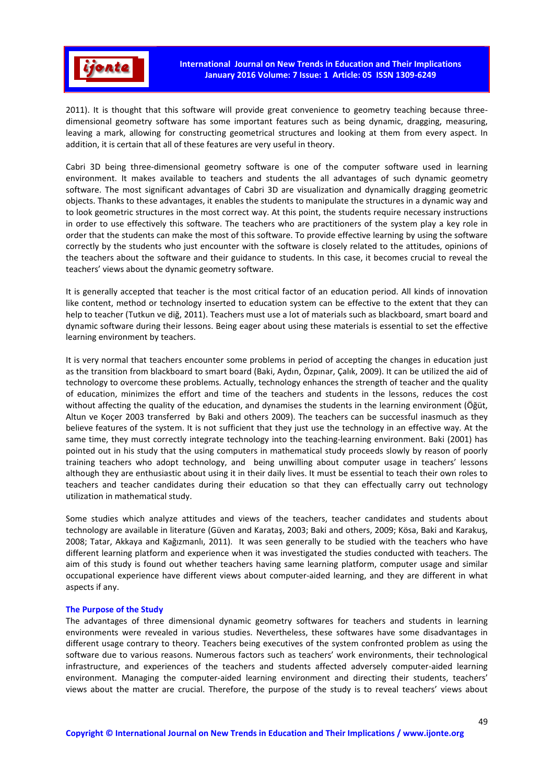

2011). It is thought that this software will provide great convenience to geometry teaching because threedimensional geometry software has some important features such as being dynamic, dragging, measuring, leaving a mark, allowing for constructing geometrical structures and looking at them from every aspect. In addition, it is certain that all of these features are very useful in theory.

Cabri 3D being three-dimensional geometry software is one of the computer software used in learning environment. It makes available to teachers and students the all advantages of such dynamic geometry software. The most significant advantages of Cabri 3D are visualization and dynamically dragging geometric objects. Thanks to these advantages, it enables the students to manipulate the structures in a dynamic way and to look geometric structures in the most correct way. At this point, the students require necessary instructions in order to use effectively this software. The teachers who are practitioners of the system play a key role in order that the students can make the most of this software. To provide effective learning by using the software correctly by the students who just encounter with the software is closely related to the attitudes, opinions of the teachers about the software and their guidance to students. In this case, it becomes crucial to reveal the teachers' views about the dynamic geometry software.

It is generally accepted that teacher is the most critical factor of an education period. All kinds of innovation like content, method or technology inserted to education system can be effective to the extent that they can help to teacher (Tutkun ve diğ, 2011). Teachers must use a lot of materials such as blackboard, smart board and dynamic software during their lessons. Being eager about using these materials is essential to set the effective learning environment by teachers.

It is very normal that teachers encounter some problems in period of accepting the changes in education just as the transition from blackboard to smart board (Baki, Aydın, Özpınar, Çalık, 2009). It can be utilized the aid of technology to overcome these problems. Actually, technology enhances the strength of teacher and the quality of education, minimizes the effort and time of the teachers and students in the lessons, reduces the cost without affecting the quality of the education, and dynamises the students in the learning environment (Öğüt, Altun ve Koçer 2003 transferred by Baki and others 2009). The teachers can be successful inasmuch as they believe features of the system. It is not sufficient that they just use the technology in an effective way. At the same time, they must correctly integrate technology into the teaching-learning environment. Baki (2001) has pointed out in his study that the using computers in mathematical study proceeds slowly by reason of poorly training teachers who adopt technology, and being unwilling about computer usage in teachers' lessons although they are enthusiastic about using it in their daily lives. It must be essential to teach their own roles to teachers and teacher candidates during their education so that they can effectually carry out technology utilization in mathematical study.

Some studies which analyze attitudes and views of the teachers, teacher candidates and students about technology are available in literature (Güven and Karataş, 2003; Baki and others, 2009; Kösa, Baki and Karakuş, 2008; Tatar, Akkaya and Kağızmanlı, 2011). It was seen generally to be studied with the teachers who have different learning platform and experience when it was investigated the studies conducted with teachers. The aim of this study is found out whether teachers having same learning platform, computer usage and similar occupational experience have different views about computer-aided learning, and they are different in what aspects if any.

## The Purpose of the Study

The advantages of three dimensional dynamic geometry softwares for teachers and students in learning environments were revealed in various studies. Nevertheless, these softwares have some disadvantages in different usage contrary to theory. Teachers being executives of the system confronted problem as using the software due to various reasons. Numerous factors such as teachers' work environments, their technological infrastructure, and experiences of the teachers and students affected adversely computer-aided learning environment. Managing the computer-aided learning environment and directing their students, teachers' views about the matter are crucial. Therefore, the purpose of the study is to reveal teachers' views about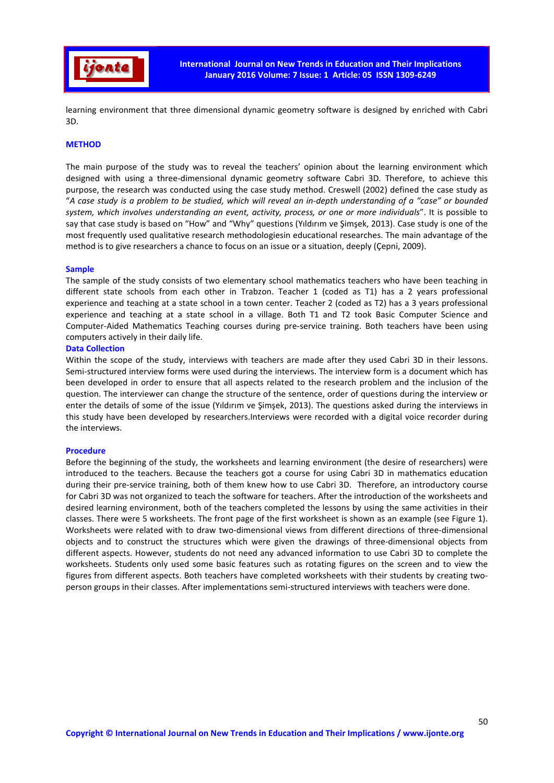

learning environment that three dimensional dynamic geometry software is designed by enriched with Cabri 3D.

#### **METHOD**

The main purpose of the study was to reveal the teachers' opinion about the learning environment which designed with using a three-dimensional dynamic geometry software Cabri 3D. Therefore, to achieve this purpose, the research was conducted using the case study method. Creswell (2002) defined the case study as "*A case study is a problem to be studied, which will reveal an in-depth understanding of a "case" or bounded system, which involves understanding an event, activity, process, or one or more individuals*". It is possible to say that case study is based on "How" and "Why" questions (Yıldırım ve Şimşek, 2013). Case study is one of the most frequently used qualitative research methodologiesin educational researches. The main advantage of the method is to give researchers a chance to focus on an issue or a situation, deeply (Çepni, 2009).

#### Sample

The sample of the study consists of two elementary school mathematics teachers who have been teaching in different state schools from each other in Trabzon. Teacher 1 (coded as T1) has a 2 years professional experience and teaching at a state school in a town center. Teacher 2 (coded as T2) has a 3 years professional experience and teaching at a state school in a village. Both T1 and T2 took Basic Computer Science and Computer-Aided Mathematics Teaching courses during pre-service training. Both teachers have been using computers actively in their daily life.

#### Data Collection

Within the scope of the study, interviews with teachers are made after they used Cabri 3D in their lessons. Semi-structured interview forms were used during the interviews. The interview form is a document which has been developed in order to ensure that all aspects related to the research problem and the inclusion of the question. The interviewer can change the structure of the sentence, order of questions during the interview or enter the details of some of the issue (Yıldırım ve Şimşek, 2013). The questions asked during the interviews in this study have been developed by researchers.Interviews were recorded with a digital voice recorder during the interviews.

#### Procedure

Before the beginning of the study, the worksheets and learning environment (the desire of researchers) were introduced to the teachers. Because the teachers got a course for using Cabri 3D in mathematics education during their pre-service training, both of them knew how to use Cabri 3D. Therefore, an introductory course for Cabri 3D was not organized to teach the software for teachers. After the introduction of the worksheets and desired learning environment, both of the teachers completed the lessons by using the same activities in their classes. There were 5 worksheets. The front page of the first worksheet is shown as an example (see Figure 1). Worksheets were related with to draw two-dimensional views from different directions of three-dimensional objects and to construct the structures which were given the drawings of three-dimensional objects from different aspects. However, students do not need any advanced information to use Cabri 3D to complete the worksheets. Students only used some basic features such as rotating figures on the screen and to view the figures from different aspects. Both teachers have completed worksheets with their students by creating twoperson groups in their classes. After implementations semi-structured interviews with teachers were done.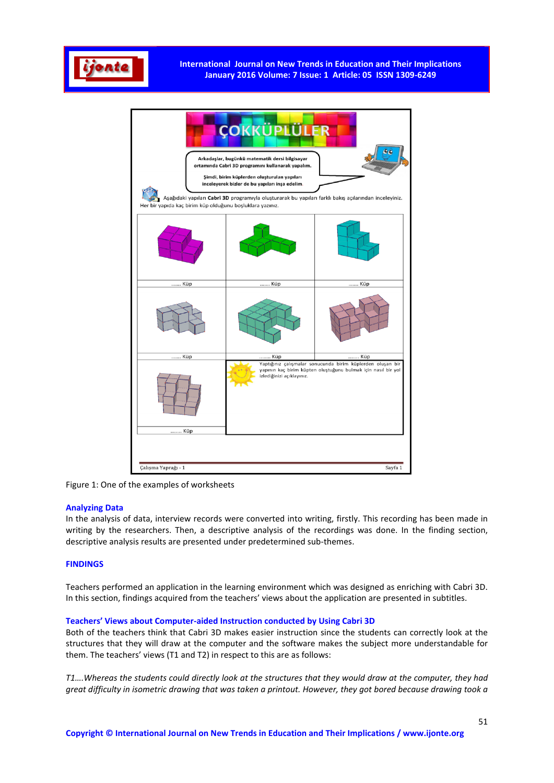



Figure 1: One of the examples of worksheets

# Analyzing Data

In the analysis of data, interview records were converted into writing, firstly. This recording has been made in writing by the researchers. Then, a descriptive analysis of the recordings was done. In the finding section, descriptive analysis results are presented under predetermined sub-themes.

# **FINDINGS**

Teachers performed an application in the learning environment which was designed as enriching with Cabri 3D. In this section, findings acquired from the teachers' views about the application are presented in subtitles.

## Teachers' Views about Computer-aided Instruction conducted by Using Cabri 3D

Both of the teachers think that Cabri 3D makes easier instruction since the students can correctly look at the structures that they will draw at the computer and the software makes the subject more understandable for them. The teachers' views (T1 and T2) in respect to this are as follows:

*T1….Whereas the students could directly look at the structures that they would draw at the computer, they had great difficulty in isometric drawing that was taken a printout. However, they got bored because drawing took a*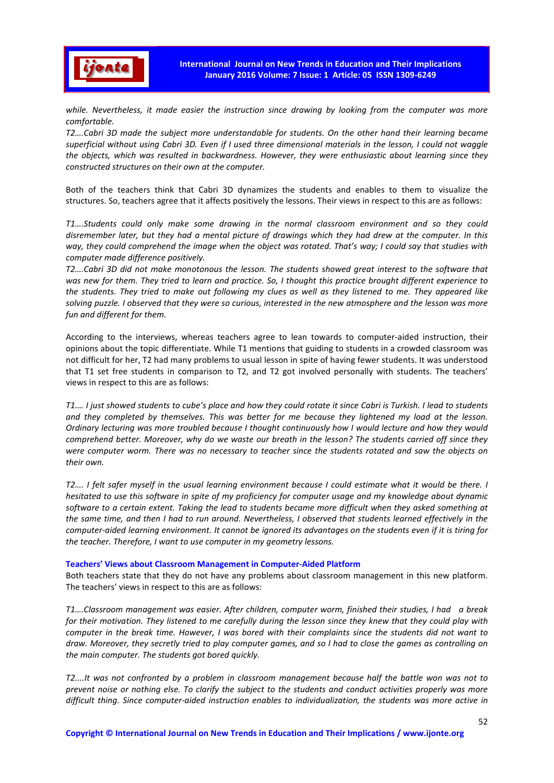

*while. Nevertheless, it made easier the instruction since drawing by looking from the computer was more comfortable.* 

*T2….Cabri 3D made the subject more understandable for students. On the other hand their learning became superficial without using Cabri 3D. Even if I used three dimensional materials in the lesson, I could not waggle the objects, which was resulted in backwardness. However, they were enthusiastic about learning since they constructed structures on their own at the computer.* 

Both of the teachers think that Cabri 3D dynamizes the students and enables to them to visualize the structures. So, teachers agree that it affects positively the lessons. Their views in respect to this are as follows:

*T1….Students could only make some drawing in the normal classroom environment and so they could disremember later, but they had a mental picture of drawings which they had drew at the computer. In this way, they could comprehend the image when the object was rotated. That's way; I could say that studies with computer made difference positively.* 

*T2….Cabri 3D did not make monotonous the lesson. The students showed great interest to the software that was new for them. They tried to learn and practice. So, I thought this practice brought different experience to the students. They tried to make out following my clues as well as they listened to me. They appeared like solving puzzle. I observed that they were so curious, interested in the new atmosphere and the lesson was more fun and different for them.* 

According to the interviews, whereas teachers agree to lean towards to computer-aided instruction, their opinions about the topic differentiate. While T1 mentions that guiding to students in a crowded classroom was not difficult for her, T2 had many problems to usual lesson in spite of having fewer students. It was understood that T1 set free students in comparison to T2, and T2 got involved personally with students. The teachers' views in respect to this are as follows:

*T1.… I just showed students to cube's place and how they could rotate it since Cabri is Turkish. I lead to students and they completed by themselves. This was better for me because they lightened my load at the lesson. Ordinary lecturing was more troubled because I thought continuously how I would lecture and how they would comprehend better. Moreover, why do we waste our breath in the lesson? The students carried off since they were computer worm. There was no necessary to teacher since the students rotated and saw the objects on their own.* 

*T2.... I felt safer myself in the usual learning environment because I could estimate what it would be there. I hesitated to use this software in spite of my proficiency for computer usage and my knowledge about dynamic software to a certain extent. Taking the lead to students became more difficult when they asked something at the same time, and then I had to run around. Nevertheless, I observed that students learned effectively in the computer-aided learning environment. It cannot be ignored its advantages on the students even if it is tiring for the teacher. Therefore, I want to use computer in my geometry lessons.*

## Teachers' Views about Classroom Management in Computer-Aided Platform

Both teachers state that they do not have any problems about classroom management in this new platform. The teachers' views in respect to this are as follows:

*T1….Classroom management was easier. After children, computer worm, finished their studies, I had a break for their motivation. They listened to me carefully during the lesson since they knew that they could play with computer in the break time. However, I was bored with their complaints since the students did not want to draw. Moreover, they secretly tried to play computer games, and so I had to close the games as controlling on the main computer. The students got bored quickly.* 

*T2....It was not confronted by a problem in classroom management because half the battle won was not to prevent noise or nothing else. To clarify the subject to the students and conduct activities properly was more difficult thing. Since computer-aided instruction enables to individualization, the students was more active in*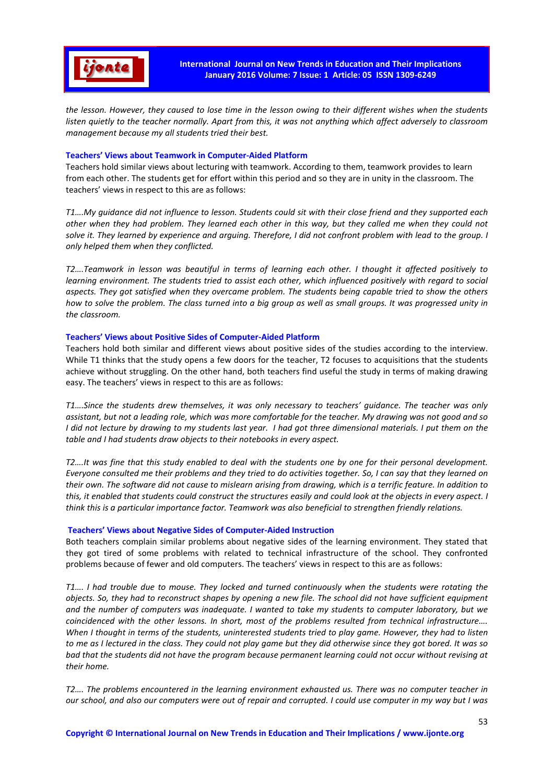

*the lesson. However, they caused to lose time in the lesson owing to their different wishes when the students listen quietly to the teacher normally. Apart from this, it was not anything which affect adversely to classroom management because my all students tried their best.* 

# Teachers' Views about Teamwork in Computer-Aided Platform

Teachers hold similar views about lecturing with teamwork. According to them, teamwork provides to learn from each other. The students get for effort within this period and so they are in unity in the classroom. The teachers' views in respect to this are as follows:

*T1….My guidance did not influence to lesson. Students could sit with their close friend and they supported each other when they had problem. They learned each other in this way, but they called me when they could not*  solve it. They learned by experience and arguing. Therefore, I did not confront problem with lead to the group. I *only helped them when they conflicted.* 

*T2….Teamwork in lesson was beautiful in terms of learning each other. I thought it affected positively to learning environment. The students tried to assist each other, which influenced positively with regard to social aspects. They got satisfied when they overcame problem. The students being capable tried to show the others how to solve the problem. The class turned into a big group as well as small groups. It was progressed unity in the classroom.* 

# Teachers' Views about Positive Sides of Computer-Aided Platform

Teachers hold both similar and different views about positive sides of the studies according to the interview. While T1 thinks that the study opens a few doors for the teacher, T2 focuses to acquisitions that the students achieve without struggling. On the other hand, both teachers find useful the study in terms of making drawing easy. The teachers' views in respect to this are as follows:

*T1….Since the students drew themselves, it was only necessary to teachers' guidance. The teacher was only assistant, but not a leading role, which was more comfortable for the teacher. My drawing was not good and so I did not lecture by drawing to my students last year. I had got three dimensional materials. I put them on the table and I had students draw objects to their notebooks in every aspect.* 

*T2….It was fine that this study enabled to deal with the students one by one for their personal development. Everyone consulted me their problems and they tried to do activities together. So, I can say that they learned on their own. The software did not cause to mislearn arising from drawing, which is a terrific feature. In addition to this, it enabled that students could construct the structures easily and could look at the objects in every aspect. I think this is a particular importance factor. Teamwork was also beneficial to strengthen friendly relations.* 

# Teachers' Views about Negative Sides of Computer-Aided Instruction

Both teachers complain similar problems about negative sides of the learning environment. They stated that they got tired of some problems with related to technical infrastructure of the school. They confronted problems because of fewer and old computers. The teachers' views in respect to this are as follows:

*T1…. I had trouble due to mouse. They locked and turned continuously when the students were rotating the objects. So, they had to reconstruct shapes by opening a new file. The school did not have sufficient equipment and the number of computers was inadequate. I wanted to take my students to computer laboratory, but we coincidenced with the other lessons. In short, most of the problems resulted from technical infrastructure…. When I thought in terms of the students, uninterested students tried to play game. However, they had to listen to me as I lectured in the class. They could not play game but they did otherwise since they got bored. It was so bad that the students did not have the program because permanent learning could not occur without revising at their home.* 

*T2…. The problems encountered in the learning environment exhausted us. There was no computer teacher in our school, and also our computers were out of repair and corrupted. I could use computer in my way but I was*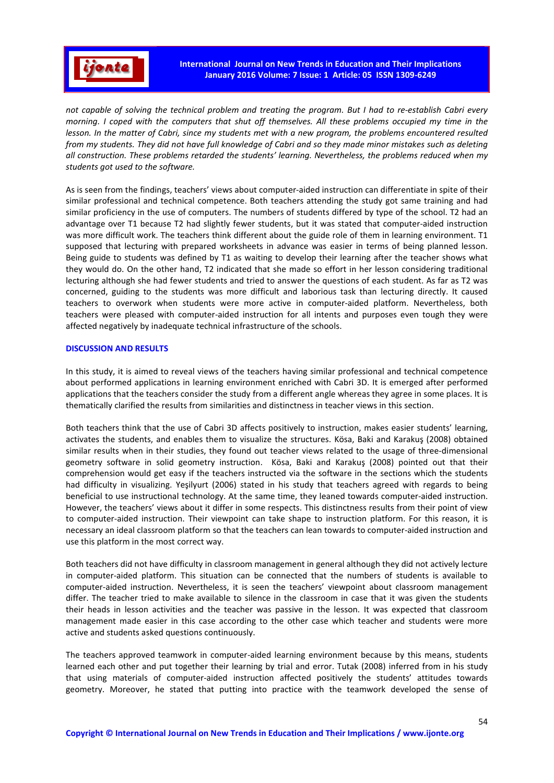

*not capable of solving the technical problem and treating the program. But I had to re-establish Cabri every morning. I coped with the computers that shut off themselves. All these problems occupied my time in the lesson. In the matter of Cabri, since my students met with a new program, the problems encountered resulted from my students. They did not have full knowledge of Cabri and so they made minor mistakes such as deleting all construction. These problems retarded the students' learning. Nevertheless, the problems reduced when my students got used to the software.* 

As is seen from the findings, teachers' views about computer-aided instruction can differentiate in spite of their similar professional and technical competence. Both teachers attending the study got same training and had similar proficiency in the use of computers. The numbers of students differed by type of the school. T2 had an advantage over T1 because T2 had slightly fewer students, but it was stated that computer-aided instruction was more difficult work. The teachers think different about the guide role of them in learning environment. T1 supposed that lecturing with prepared worksheets in advance was easier in terms of being planned lesson. Being guide to students was defined by T1 as waiting to develop their learning after the teacher shows what they would do. On the other hand, T2 indicated that she made so effort in her lesson considering traditional lecturing although she had fewer students and tried to answer the questions of each student. As far as T2 was concerned, guiding to the students was more difficult and laborious task than lecturing directly. It caused teachers to overwork when students were more active in computer-aided platform. Nevertheless, both teachers were pleased with computer-aided instruction for all intents and purposes even tough they were affected negatively by inadequate technical infrastructure of the schools.

## DISCUSSION AND RESULTS

In this study, it is aimed to reveal views of the teachers having similar professional and technical competence about performed applications in learning environment enriched with Cabri 3D. It is emerged after performed applications that the teachers consider the study from a different angle whereas they agree in some places. It is thematically clarified the results from similarities and distinctness in teacher views in this section.

Both teachers think that the use of Cabri 3D affects positively to instruction, makes easier students' learning, activates the students, and enables them to visualize the structures. Kösa, Baki and Karakuş (2008) obtained similar results when in their studies, they found out teacher views related to the usage of three-dimensional geometry software in solid geometry instruction. Kösa, Baki and Karakuş (2008) pointed out that their comprehension would get easy if the teachers instructed via the software in the sections which the students had difficulty in visualizing. Yeşilyurt (2006) stated in his study that teachers agreed with regards to being beneficial to use instructional technology. At the same time, they leaned towards computer-aided instruction. However, the teachers' views about it differ in some respects. This distinctness results from their point of view to computer-aided instruction. Their viewpoint can take shape to instruction platform. For this reason, it is necessary an ideal classroom platform so that the teachers can lean towards to computer-aided instruction and use this platform in the most correct way.

Both teachers did not have difficulty in classroom management in general although they did not actively lecture in computer-aided platform. This situation can be connected that the numbers of students is available to computer-aided instruction. Nevertheless, it is seen the teachers' viewpoint about classroom management differ. The teacher tried to make available to silence in the classroom in case that it was given the students their heads in lesson activities and the teacher was passive in the lesson. It was expected that classroom management made easier in this case according to the other case which teacher and students were more active and students asked questions continuously.

The teachers approved teamwork in computer-aided learning environment because by this means, students learned each other and put together their learning by trial and error. Tutak (2008) inferred from in his study that using materials of computer-aided instruction affected positively the students' attitudes towards geometry. Moreover, he stated that putting into practice with the teamwork developed the sense of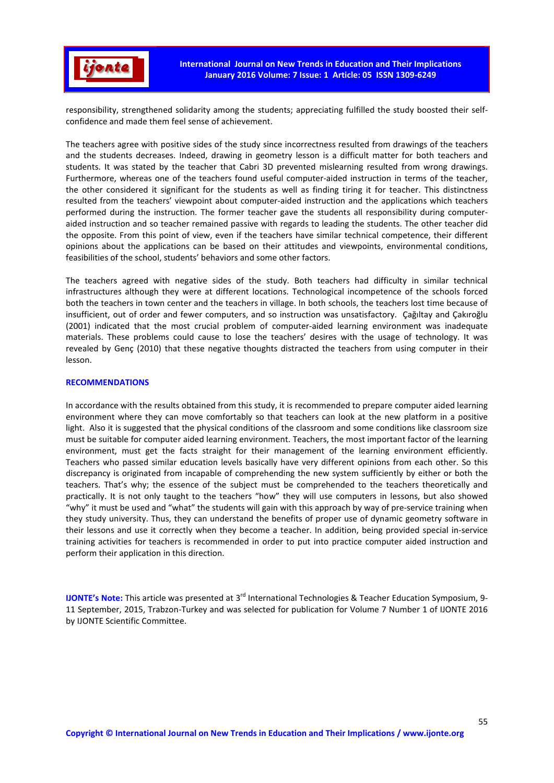

responsibility, strengthened solidarity among the students; appreciating fulfilled the study boosted their selfconfidence and made them feel sense of achievement.

The teachers agree with positive sides of the study since incorrectness resulted from drawings of the teachers and the students decreases. Indeed, drawing in geometry lesson is a difficult matter for both teachers and students. It was stated by the teacher that Cabri 3D prevented mislearning resulted from wrong drawings. Furthermore, whereas one of the teachers found useful computer-aided instruction in terms of the teacher, the other considered it significant for the students as well as finding tiring it for teacher. This distinctness resulted from the teachers' viewpoint about computer-aided instruction and the applications which teachers performed during the instruction. The former teacher gave the students all responsibility during computeraided instruction and so teacher remained passive with regards to leading the students. The other teacher did the opposite. From this point of view, even if the teachers have similar technical competence, their different opinions about the applications can be based on their attitudes and viewpoints, environmental conditions, feasibilities of the school, students' behaviors and some other factors.

The teachers agreed with negative sides of the study. Both teachers had difficulty in similar technical infrastructures although they were at different locations. Technological incompetence of the schools forced both the teachers in town center and the teachers in village. In both schools, the teachers lost time because of insufficient, out of order and fewer computers, and so instruction was unsatisfactory. Çağıltay and Çakıroğlu (2001) indicated that the most crucial problem of computer-aided learning environment was inadequate materials. These problems could cause to lose the teachers' desires with the usage of technology. It was revealed by Genç (2010) that these negative thoughts distracted the teachers from using computer in their lesson.

## RECOMMENDATIONS

In accordance with the results obtained from this study, it is recommended to prepare computer aided learning environment where they can move comfortably so that teachers can look at the new platform in a positive light. Also it is suggested that the physical conditions of the classroom and some conditions like classroom size must be suitable for computer aided learning environment. Teachers, the most important factor of the learning environment, must get the facts straight for their management of the learning environment efficiently. Teachers who passed similar education levels basically have very different opinions from each other. So this discrepancy is originated from incapable of comprehending the new system sufficiently by either or both the teachers. That's why; the essence of the subject must be comprehended to the teachers theoretically and practically. It is not only taught to the teachers "how" they will use computers in lessons, but also showed "why" it must be used and "what" the students will gain with this approach by way of pre-service training when they study university. Thus, they can understand the benefits of proper use of dynamic geometry software in their lessons and use it correctly when they become a teacher. In addition, being provided special in-service training activities for teachers is recommended in order to put into practice computer aided instruction and perform their application in this direction.

IJONTE's Note: This article was presented at 3rd International Technologies & Teacher Education Symposium, 9- 11 September, 2015, Trabzon-Turkey and was selected for publication for Volume 7 Number 1 of IJONTE 2016 by IJONTE Scientific Committee.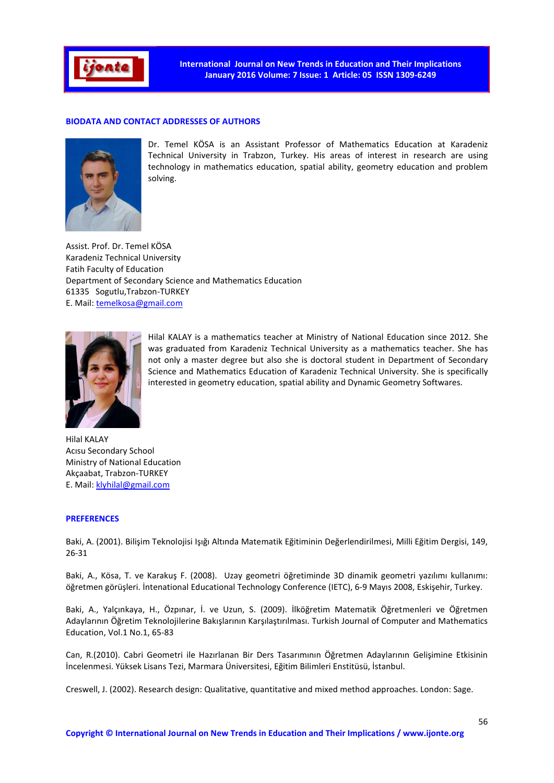

## BIODATA AND CONTACT ADDRESSES OF AUTHORS



Dr. Temel KÖSA is an Assistant Professor of Mathematics Education at Karadeniz Technical University in Trabzon, Turkey. His areas of interest in research are using technology in mathematics education, spatial ability, geometry education and problem solving.

Assist. Prof. Dr. Temel KÖSA Karadeniz Technical University Fatih Faculty of Education Department of Secondary Science and Mathematics Education 61335 Sogutlu,Trabzon-TURKEY E. Mail: temelkosa@gmail.com



Hilal KALAY is a mathematics teacher at Ministry of National Education since 2012. She was graduated from Karadeniz Technical University as a mathematics teacher. She has not only a master degree but also she is doctoral student in Department of Secondary Science and Mathematics Education of Karadeniz Technical University. She is specifically interested in geometry education, spatial ability and Dynamic Geometry Softwares.

Hilal KALAY Acısu Secondary School Ministry of National Education Akçaabat, Trabzon-TURKEY E. Mail: klyhilal@gmail.com

#### PREFERENCES

Baki, A. (2001). Bilişim Teknolojisi Işığı Altında Matematik Eğitiminin Değerlendirilmesi, Milli Eğitim Dergisi, 149, 26-31

Baki, A., Kösa, T. ve Karakuş F. (2008). Uzay geometri öğretiminde 3D dinamik geometri yazılımı kullanımı: öğretmen görüşleri. İntenational Educational Technology Conference (IETC), 6-9 Mayıs 2008, Eskişehir, Turkey.

Baki, A., Yalçınkaya, H., Özpınar, İ. ve Uzun, S. (2009). İlköğretim Matematik Öğretmenleri ve Öğretmen Adaylarının Öğretim Teknolojilerine Bakışlarının Karşılaştırılması. Turkish Journal of Computer and Mathematics Education, Vol.1 No.1, 65-83

Can, R.(2010). Cabri Geometri ile Hazırlanan Bir Ders Tasarımının Öğretmen Adaylarının Gelişimine Etkisinin İncelenmesi. Yüksek Lisans Tezi, Marmara Üniversitesi, Eğitim Bilimleri Enstitüsü, İstanbul.

Creswell, J. (2002). Research design: Qualitative, quantitative and mixed method approaches. London: Sage.